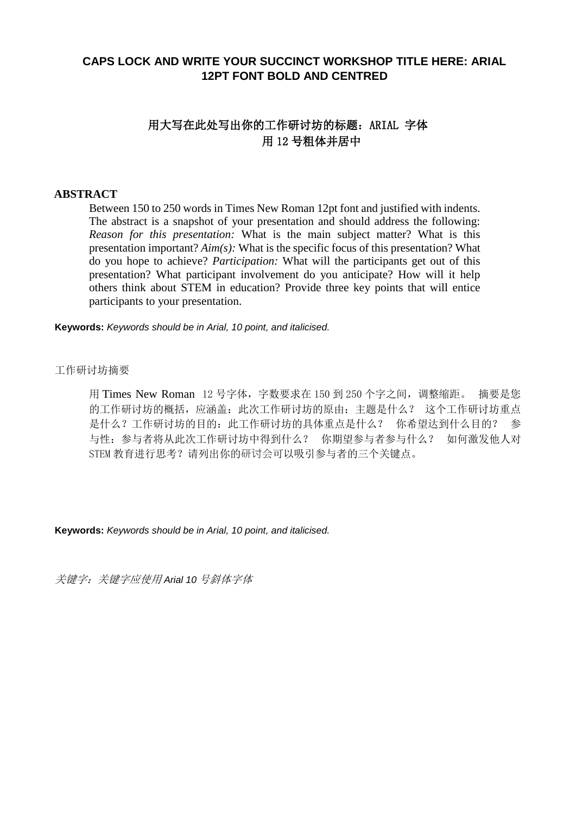# **CAPS LOCK AND WRITE YOUR SUCCINCT WORKSHOP TITLE HERE: ARIAL 12PT FONT BOLD AND CENTRED**

# 用大写在此处写出你的工作研讨坊的标题:ARIAL 字体 用 12 号粗体并居中

### **ABSTRACT**

Between 150 to 250 words in Times New Roman 12pt font and justified with indents. The abstract is a snapshot of your presentation and should address the following: *Reason for this presentation:* What is the main subject matter? What is this presentation important? *Aim(s):* What is the specific focus of this presentation? What do you hope to achieve? *Participation:* What will the participants get out of this presentation? What participant involvement do you anticipate? How will it help others think about STEM in education? Provide three key points that will entice participants to your presentation.

**Keywords:** *Keywords should be in Arial, 10 point, and italicised.*

#### 工作研讨坊摘要

用 Times New Roman 12 号字体, 字数要求在 150 到 250 个字之间, 调整缩距。 摘要是您 的工作研讨坊的概括,应涵盖:此次工作研讨坊的原由:主题是什么? 这个工作研讨坊重点 是什么?工作研讨坊的目的:此工作研讨坊的具体重点是什么? 你希望达到什么目的? 参 与性:参与者将从此次工作研讨坊中得到什么? 你期望参与者参与什么? 如何激发他人对 STEM 教育进行思考?请列出你的研讨会可以吸引参与者的三个关键点。

**Keywords:** *Keywords should be in Arial, 10 point, and italicised.*

关键字:关键字应使用 *Arial 10* 号斜体字体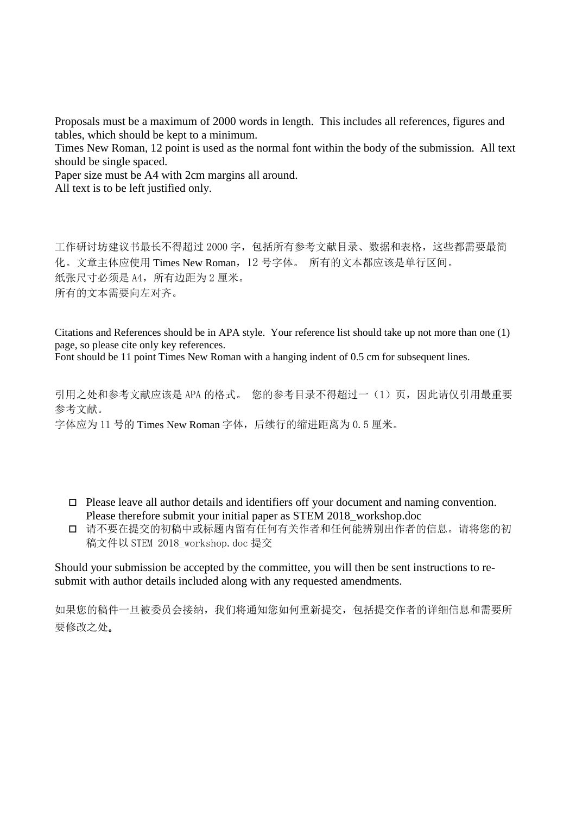Proposals must be a maximum of 2000 words in length. This includes all references, figures and tables, which should be kept to a minimum.

Times New Roman, 12 point is used as the normal font within the body of the submission. All text should be single spaced.

Paper size must be A4 with 2cm margins all around.

All text is to be left justified only.

工作研讨坊建议书最长不得超过 2000 字,包括所有参考文献目录、数据和表格,这些都需要最简 化。文章主体应使用 Times New Roman,12 号字体。 所有的文本都应该是单行区间。 纸张尺寸必须是 A4, 所有边距为 2 厘米。 所有的文本需要向左对齐。

Citations and References should be in APA style. Your reference list should take up not more than one (1) page, so please cite only key references.

Font should be 11 point Times New Roman with a hanging indent of 0.5 cm for subsequent lines.

引用之处和参考文献应该是 APA 的格式。 您的参考目录不得超过一(1)页,因此请仅引用最重要 参考文献。 字体应为 11 号的 Times New Roman 字体, 后续行的缩讲距离为  $0.5 \times \mathbb{R}$ 。

- $\Box$  Please leave all author details and identifiers off your document and naming convention. Please therefore submit your initial paper as STEM 2018\_workshop.doc
- 请不要在提交的初稿中或标题内留有任何有关作者和任何能辨别出作者的信息。请将您的初 稿文件以 STEM 2018\_workshop.doc 提交

Should your submission be accepted by the committee, you will then be sent instructions to resubmit with author details included along with any requested amendments.

如果您的稿件一旦被委员会接纳,我们将通知您如何重新提交,包括提交作者的详细信息和需要所 要修改之处。